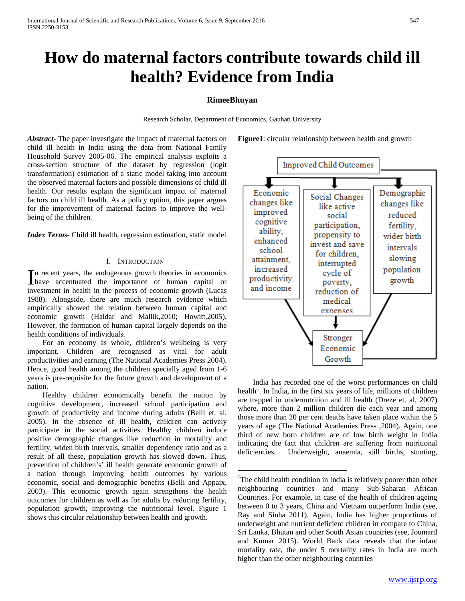# **How do maternal factors contribute towards child ill health? Evidence from India**

# **RimeeBhuyan**

Research Scholar, Department of Economics, Gauhati University

*Abstract***-** The paper investigate the impact of maternal factors on child ill health in India using the data from National Family Household Survey 2005-06. The empirical analysis exploits a cross-section structure of the dataset by regression (logit transformation) estimation of a static model taking into account the observed maternal factors and possible dimensions of child ill health. Our results explain the significant impact of maternal factors on child ill health. As a policy option, this paper argues for the improvement of maternal factors to improve the wellbeing of the children.

*Index Terms*- Child ill health, regression estimation, static model

#### I. INTRODUCTION

n recent years, the endogenous growth theories in economics In recent years, the endogenous growth theories in economics<br>have accentuated the importance of human capital or investment in health in the process of economic growth (Lucas 1988). Alongside, there are much research evidence which empirically showed the relation between human capital and economic growth (Haldar and Mallik,2010; Howitt,2005). However, the formation of human capital largely depends on the health conditions of individuals.

 For an economy as whole, children's wellbeing is very important. Children are recognised as vital for adult productivities and earning (The National Academies Press 2004). Hence, good health among the children specially aged from 1-6 years is pre-requisite for the future growth and development of a nation.

<span id="page-0-1"></span><span id="page-0-0"></span> Healthy children economically benefit the nation by cognitive development, increased school participation and growth of productivity and income during adults (Belli et. al, 2005). In the absence of ill health, children can actively participate in the social activities. Healthy children induce positive demographic changes like reduction in mortality and fertility, widen birth intervals, smaller dependency ratio and as a result of all these, population growth has slowed down. Thus, prevention of children's' ill health generate economic growth of a nation through improving health outcomes by various economic, social and demographic benefits (Belli and Appaix, 2003). This economic growth again strengthens the health outcomes for children as well as for adults by reducing fertility, population growth, improving the nutritional level. Figure 1 shows this circular relationship between health and growth.

**Figure1**: circular relationship between health and growth



 India has recorded one of the worst performances on child health<sup>[1](#page-0-0)</sup>. In India, in the first six years of life, millions of children are trapped in undernutrition and ill health (Dreze et. al, 2007) where, more than 2 million children die each year and among those more than 20 per cent deaths have taken place within the 5 years of age (The National Academies Press ,2004). Again, one third of new born children are of low birth weight in India indicating the fact that children are suffering from nutritional deficiencies. Underweight, anaemia, still births, stunting,

 $\frac{1}{1}$ <sup>1</sup>The child health condition in India is relatively poorer than other neighbouring countries and many Sub-Saharan African Countries. For example, in case of the health of children ageing between 0 to 3 years, China and Vietnam outperform India (see, Ray and Sinha 2011). Again, India has higher proportions of underweight and nutrient deficient children in compare to China, Sri Lanka, Bhutan and other South Asian countries (see, Joumard and Kumar 2015). World Bank data reveals that the infant mortality rate, the under 5 mortality rates in India are much higher than the other neighbouring countries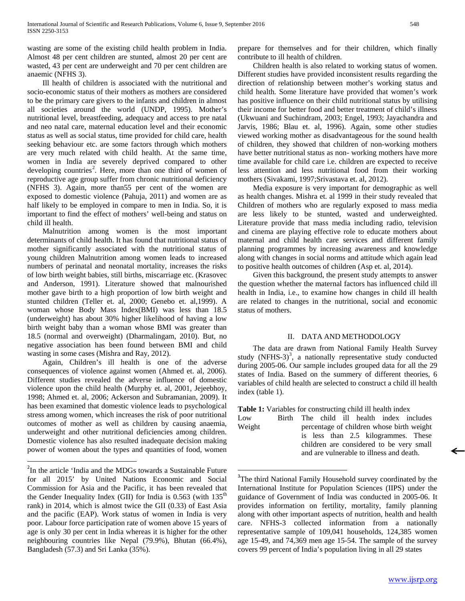wasting are some of the existing child health problem in India. Almost 48 per cent children are stunted, almost 20 per cent are wasted, 43 per cent are underweight and 70 per cent children are anaemic (NFHS 3).

 Ill health of children is associated with the nutritional and socio-economic status of their mothers as mothers are considered to be the primary care givers to the infants and children in almost all societies around the world (UNDP, 1995). Mother's nutritional level, breastfeeding, adequacy and access to pre natal and neo natal care, maternal education level and their economic status as well as social status, time provided for child care, health seeking behaviour etc. are some factors through which mothers are very much related with child health. At the same time, women in India are severely deprived compared to other developing countries<sup>[2](#page-0-1)</sup>. Here, more than one third of women of reproductive age group suffer from chronic nutritional deficiency (NFHS 3). Again, more than55 per cent of the women are exposed to domestic violence (Pahuja, 2011) and women are as half likely to be employed in compare to men in India. So, it is important to find the effect of mothers' well-being and status on child ill health.

 Malnutrition among women is the most important determinants of child health. It has found that nutritional status of mother significantly associated with the nutritional status of young children Malnutrition among women leads to increased numbers of perinatal and neonatal mortality, increases the risks of low birth weight babies, still births, miscarriage etc. (Krasovec and Anderson, 1991). Literature showed that malnourished mother gave birth to a high proportion of low birth weight and stunted children (Teller et. al, 2000; Genebo et. al,1999). A woman whose Body Mass Index(BMI) was less than 18.5 (underweight) has about 30% higher likelihood of having a low birth weight baby than a woman whose BMI was greater than 18.5 (normal and overweight) (Dharmalingam, 2010). But, no negative association has been found between BMI and child wasting in some cases (Mishra and Ray, 2012).

 Again, Children's ill health is one of the adverse consequences of violence against women (Ahmed et. al, 2006). Different studies revealed the adverse influence of domestic violence upon the child health (Murphy et. al, 2001, Jejeebhoy, 1998; Ahmed et. al, 2006; Ackerson and Subramanian, 2009). It has been examined that domestic violence leads to psychological stress among women, which increases the risk of poor nutritional outcomes of mother as well as children by causing anaemia, underweight and other nutritional deficiencies among children. Domestic violence has also resulted inadequate decision making power of women about the types and quantities of food, women prepare for themselves and for their children, which finally contribute to ill health of children.

 Children health is also related to working status of women. Different studies have provided inconsistent results regarding the direction of relationship between mother's working status and child health. Some literature have provided that women's work has positive influence on their child nutritional status by utilising their income for better food and better treatment of child's illness (Ukwuani and Suchindram, 2003; Engel, 1993; Jayachandra and Jarvis, 1986; Blau et. al, 1996). Again, some other studies viewed working mother as disadvantageous for the sound health of children, they showed that children of non-working mothers have better nutritional status as non- working mothers have more time available for child care i.e. children are expected to receive less attention and less nutritional food from their working mothers (Sivakami, 1997;Srivastava et. al, 2012).

 Media exposure is very important for demographic as well as health changes. Mishra et. al 1999 in their study revealed that Children of mothers who are regularly exposed to mass media are less likely to be stunted, wasted and underweighted. Literature provide that mass media including radio, television and cinema are playing effective role to educate mothers about maternal and child health care services and different family planning programmes by increasing awareness and knowledge along with changes in social norms and attitude which again lead to positive health outcomes of children (Asp et. al, 2014).

 Given this background, the present study attempts to answer the question whether the maternal factors has influenced child ill health in India, i.e., to examine how changes in child ill health are related to changes in the nutritional, social and economic status of mothers.

### II. DATA AND METHODOLOGY

 The data are drawn from National Family Health Survey study (NFHS-[3](#page-1-0))<sup>3</sup>, a nationally representative study conducted during 2005-06. Our sample includes grouped data for all the 29 states of India. Based on the summery of different theories, 6 variables of child health are selected to construct a child ill health index (table 1).

**Table 1:** Variables for constructing child ill health index

Low Birth The child ill health index includes Weight percentage of children whose birth weight is less than 2.5 kilogrammes. These children are considered to be very small and are vulnerable to illness and death.

<span id="page-1-0"></span> $\overline{2}$ <sup>2</sup>In the article 'India and the MDGs towards a Sustainable Future for all 2015' by United Nations Economic and Social Commission for Asia and the Pacific, it has been revealed that the Gender Inequality Index (GII) for India is  $0.563$  (with  $135<sup>th</sup>$ rank) in 2014, which is almost twice the GII (0.33) of East Asia and the pacific (EAP). Work status of women in India is very poor. Labour force participation rate of women above 15 years of age is only 30 per cent in India whereas it is higher for the other neighbouring countries like Nepal (79.9%), Bhutan (66.4%), Bangladesh (57.3) and Sri Lanka (35%).

<sup>-&</sup>lt;br>3 <sup>3</sup>The third National Family Household survey coordinated by the International Institute for Population Sciences (IIPS) under the guidance of Government of India was conducted in 2005-06. It provides information on fertility, mortality, family planning along with other important aspects of nutrition, health and health care. NFHS-3 collected information from a nationally representative sample of 109,041 households, 124,385 women age 15-49, and 74,369 men age 15-54. The sample of the survey covers 99 percent of India's population living in all 29 states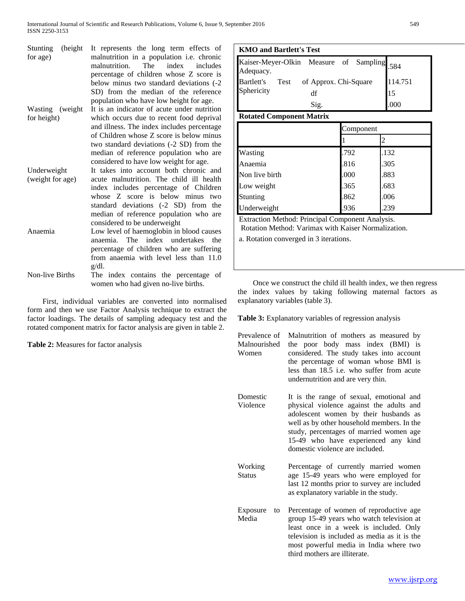| Stunting<br>(height)<br>for age) | It represents the long term effects of<br>malnutrition in a population i.e. chronic<br>malnutrition. The index includes<br>percentage of children whose Z score is<br>below minus two standard deviations (-2 |  |  |  |  |
|----------------------------------|---------------------------------------------------------------------------------------------------------------------------------------------------------------------------------------------------------------|--|--|--|--|
|                                  | SD) from the median of the reference                                                                                                                                                                          |  |  |  |  |
|                                  | population who have low height for age.                                                                                                                                                                       |  |  |  |  |
| Wasting (weight)                 | It is an indicator of acute under nutrition                                                                                                                                                                   |  |  |  |  |
| for height)                      | which occurs due to recent food deprival                                                                                                                                                                      |  |  |  |  |
|                                  | and illness. The index includes percentage                                                                                                                                                                    |  |  |  |  |
|                                  | of Children whose Z score is below minus                                                                                                                                                                      |  |  |  |  |
|                                  | two standard deviations (-2 SD) from the<br>median of reference population who are                                                                                                                            |  |  |  |  |
|                                  | considered to have low weight for age.                                                                                                                                                                        |  |  |  |  |
| Underweight                      | It takes into account both chronic and                                                                                                                                                                        |  |  |  |  |
| (weight for age)                 | acute malnutrition. The child ill health                                                                                                                                                                      |  |  |  |  |
|                                  | index includes percentage of Children                                                                                                                                                                         |  |  |  |  |
|                                  | whose Z score is below minus two                                                                                                                                                                              |  |  |  |  |
|                                  | standard deviations (-2 SD) from the                                                                                                                                                                          |  |  |  |  |
|                                  | median of reference population who are                                                                                                                                                                        |  |  |  |  |
|                                  | considered to be underweight                                                                                                                                                                                  |  |  |  |  |
| Anaemia                          | Low level of haemoglobin in blood causes                                                                                                                                                                      |  |  |  |  |
|                                  | The index undertakes<br>anaemia.<br>the                                                                                                                                                                       |  |  |  |  |
|                                  | percentage of children who are suffering                                                                                                                                                                      |  |  |  |  |
|                                  | from anaemia with level less than 11.0                                                                                                                                                                        |  |  |  |  |
|                                  | $g/dl$ .                                                                                                                                                                                                      |  |  |  |  |
| Non-live Births                  | The index contains the percentage of                                                                                                                                                                          |  |  |  |  |
|                                  | women who had given no-live births.                                                                                                                                                                           |  |  |  |  |

 First, individual variables are converted into normalised form and then we use Factor Analysis technique to extract the factor loadings. The details of sampling adequacy test and the rotated component matrix for factor analysis are given in table 2.

**Table 2:** Measures for factor analysis

| <b>KMO</b> and Bartlett's Test                                                                                    |  |  |      |         |
|-------------------------------------------------------------------------------------------------------------------|--|--|------|---------|
| Kaiser-Meyer-Olkin Measure of Sampling 584<br>Adequacy.<br>Bartlett's Test of Approx. Chi-Square<br>Sphericity df |  |  |      |         |
|                                                                                                                   |  |  |      | 114.751 |
|                                                                                                                   |  |  |      | 15      |
| Sig.                                                                                                              |  |  | .000 |         |

# **Rotated Component Matrix**

|                | Component |      |
|----------------|-----------|------|
|                |           |      |
| Wasting        | .792      | .132 |
| Anaemia        | .816      | .305 |
| Non live birth | .000      | .883 |
| Low weight     | .365      | .683 |
| Stunting       | .862      | .006 |
| Underweight    | .936      | .239 |

Extraction Method: Principal Component Analysis. Rotation Method: Varimax with Kaiser Normalization.

a. Rotation converged in 3 iterations.

 Once we construct the child ill health index, we then regress the index values by taking following maternal factors as explanatory variables (table 3).

**Table 3:** Explanatory variables of regression analysis

- Prevalence of Malnutrition of mothers as measured by Malnourished Women the poor body mass index (BMI) is considered. The study takes into account the percentage of woman whose BMI is less than 18.5 i.e. who suffer from acute undernutrition and are very thin.
- Domestic Violence It is the range of sexual, emotional and physical violence against the adults and adolescent women by their husbands as well as by other household members. In the study, percentages of married women age 15-49 who have experienced any kind domestic violence are included.

Working **Status** Percentage of currently married women age 15-49 years who were employed for last 12 months prior to survey are included as explanatory variable in the study.

Exposure to Media Percentage of women of reproductive age group 15-49 years who watch television at least once in a week is included. Only television is included as media as it is the most powerful media in India where two third mothers are illiterate.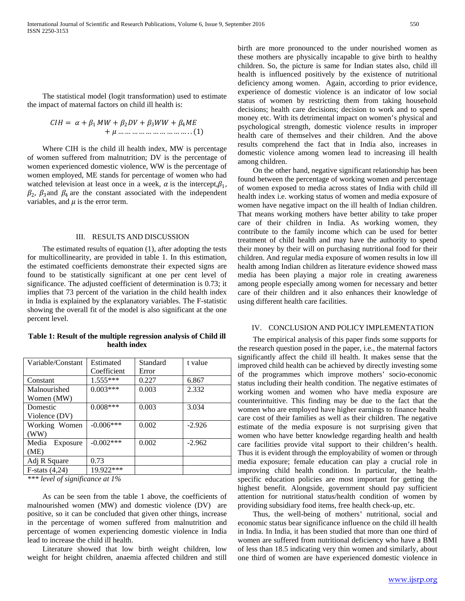The statistical model (logit transformation) used to estimate the impact of maternal factors on child ill health is:

 = + <sup>1</sup> + 2 + <sup>3</sup> + 4 + … … … … … … … … … … . . (1)

 Where CIH is the child ill health index, MW is percentage of women suffered from malnutrition; DV is the percentage of women experienced domestic violence, WW is the percentage of women employed, ME stands for percentage of women who had watched television at least once in a week,  $\alpha$  is the intercept,  $\beta_1$ ,  $\beta_2$ ,  $\beta_3$  and  $\beta_4$  are the constant associated with the independent variables, and  $\mu$  is the error term.

# III. RESULTS AND DISCUSSION

 The estimated results of equation (1), after adopting the tests for multicollinearity, are provided in table 1. In this estimation, the estimated coefficients demonstrate their expected signs are found to be statistically significant at one per cent level of significance. The adjusted coefficient of determination is 0.73; it implies that 73 percent of the variation in the child health index in India is explained by the explanatory variables. The F-statistic showing the overall fit of the model is also significant at the one percent level.

**Table 1: Result of the multiple regression analysis of Child ill health index**

| Variable/Constant | Estimated    | Standard | t value  |
|-------------------|--------------|----------|----------|
|                   | Coefficient  | Error    |          |
| Constant          | $1.555***$   | 0.227    | 6.867    |
| Malnourished      | $0.003***$   | 0.003    | 2.332    |
| Women (MW)        |              |          |          |
| Domestic          | $0.008***$   | 0.003    | 3.034    |
| Violence (DV)     |              |          |          |
| Working Women     | $-0.006***$  | 0.002    | $-2.926$ |
| (WW)              |              |          |          |
| Media<br>Exposure | $-0.002$ *** | 0.002    | $-2.962$ |
| (ME)              |              |          |          |
| Adj R Square      | 0.73         |          |          |
| F-stats $(4,24)$  | 19.922***    |          |          |

*\*\*\* level of significance at 1%* 

 As can be seen from the table 1 above, the coefficients of malnourished women (MW) and domestic violence (DV) are positive, so it can be concluded that given other things, increase in the percentage of women suffered from malnutrition and percentage of women experiencing domestic violence in India lead to increase the child ill health.

 Literature showed that low birth weight children, low weight for height children, anaemia affected children and still birth are more pronounced to the under nourished women as these mothers are physically incapable to give birth to healthy children. So, the picture is same for Indian states also, child ill health is influenced positively by the existence of nutritional deficiency among women. Again, according to prior evidence, experience of domestic violence is an indicator of low social status of women by restricting them from taking household decisions; health care decisions; decision to work and to spend money etc. With its detrimental impact on women's physical and psychological strength, domestic violence results in improper health care of themselves and their children. And the above results comprehend the fact that in India also, increases in domestic violence among women lead to increasing ill health among children.

 On the other hand, negative significant relationship has been found between the percentage of working women and percentage of women exposed to media across states of India with child ill health index i.e. working status of women and media exposure of women have negative impact on the ill health of Indian children. That means working mothers have better ability to take proper care of their children in India. As working women, they contribute to the family income which can be used for better treatment of child health and may have the authority to spend their money by their will on purchasing nutritional food for their children. And regular media exposure of women results in low ill health among Indian children as literature evidence showed mass media has been playing a major role in creating awareness among people especially among women for necessary and better care of their children and it also enhances their knowledge of using different health care facilities.

## IV. CONCLUSION AND POLICY IMPLEMENTATION

 The empirical analysis of this paper finds some supports for the research question posed in the paper, i.e., the maternal factors significantly affect the child ill health. It makes sense that the improved child health can be achieved by directly investing some of the programmes which improve mothers' socio-economic status including their health condition. The negative estimates of working women and women who have media exposure are counterintuitive. This finding may be due to the fact that the women who are employed have higher earnings to finance health care cost of their families as well as their children. The negative estimate of the media exposure is not surprising given that women who have better knowledge regarding health and health care facilities provide vital support to their children's health. Thus it is evident through the employability of women or through media exposure; female education can play a crucial role in improving child health condition. In particular, the healthspecific education policies are most important for getting the highest benefit. Alongside, government should pay sufficient attention for nutritional status/health condition of women by providing subsidiary food items, free health check-up, etc.

 Thus, the well-being of mothers' nutritional, social and economic status bear significance influence on the child ill health in India. In India, it has been studied that more than one third of women are suffered from nutritional deficiency who have a BMI of less than 18.5 indicating very thin women and similarly, about one third of women are have experienced domestic violence in